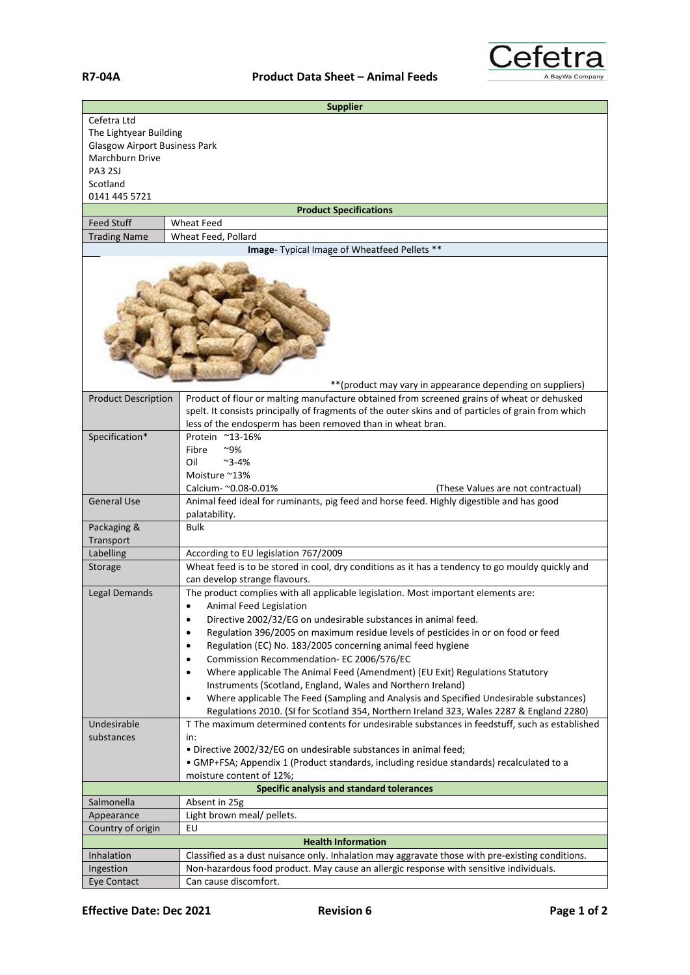

| <b>Supplier</b>                                            |                                                                                                                                                                                            |  |
|------------------------------------------------------------|--------------------------------------------------------------------------------------------------------------------------------------------------------------------------------------------|--|
| Cefetra Ltd                                                |                                                                                                                                                                                            |  |
| The Lightyear Building                                     |                                                                                                                                                                                            |  |
| <b>Glasgow Airport Business Park</b><br>Marchburn Drive    |                                                                                                                                                                                            |  |
| <b>PA3 2SJ</b>                                             |                                                                                                                                                                                            |  |
| Scotland                                                   |                                                                                                                                                                                            |  |
| 0141 445 5721                                              |                                                                                                                                                                                            |  |
|                                                            | <b>Product Specifications</b>                                                                                                                                                              |  |
| <b>Feed Stuff</b>                                          | <b>Wheat Feed</b>                                                                                                                                                                          |  |
| <b>Trading Name</b>                                        | Wheat Feed, Pollard                                                                                                                                                                        |  |
|                                                            | Image- Typical Image of Wheatfeed Pellets **                                                                                                                                               |  |
| ** (product may vary in appearance depending on suppliers) |                                                                                                                                                                                            |  |
| <b>Product Description</b>                                 | Product of flour or malting manufacture obtained from screened grains of wheat or dehusked                                                                                                 |  |
|                                                            | spelt. It consists principally of fragments of the outer skins and of particles of grain from which                                                                                        |  |
|                                                            | less of the endosperm has been removed than in wheat bran.                                                                                                                                 |  |
| Specification*                                             | Protein ~13-16%                                                                                                                                                                            |  |
|                                                            | ~9%<br>Fibre                                                                                                                                                                               |  |
|                                                            | Oil<br>$~2 - 4%$                                                                                                                                                                           |  |
|                                                            | Moisture ~13%                                                                                                                                                                              |  |
|                                                            | Calcium- ~0.08-0.01%<br>(These Values are not contractual)                                                                                                                                 |  |
| <b>General Use</b>                                         | Animal feed ideal for ruminants, pig feed and horse feed. Highly digestible and has good<br>palatability.                                                                                  |  |
| Packaging &                                                | <b>Bulk</b>                                                                                                                                                                                |  |
| Transport                                                  |                                                                                                                                                                                            |  |
| Labelling                                                  | According to EU legislation 767/2009                                                                                                                                                       |  |
| Storage                                                    | Wheat feed is to be stored in cool, dry conditions as it has a tendency to go mouldy quickly and<br>can develop strange flavours.                                                          |  |
| Legal Demands                                              | The product complies with all applicable legislation. Most important elements are:                                                                                                         |  |
|                                                            | Animal Feed Legislation<br>$\bullet$                                                                                                                                                       |  |
|                                                            | Directive 2002/32/EG on undesirable substances in animal feed.<br>$\bullet$                                                                                                                |  |
|                                                            | Regulation 396/2005 on maximum residue levels of pesticides in or on food or feed<br>$\bullet$                                                                                             |  |
|                                                            | Regulation (EC) No. 183/2005 concerning animal feed hygiene<br>$\bullet$                                                                                                                   |  |
|                                                            | Commission Recommendation- EC 2006/576/EC<br>٠                                                                                                                                             |  |
|                                                            | Where applicable The Animal Feed (Amendment) (EU Exit) Regulations Statutory<br>٠                                                                                                          |  |
|                                                            | Instruments (Scotland, England, Wales and Northern Ireland)                                                                                                                                |  |
|                                                            | Where applicable The Feed (Sampling and Analysis and Specified Undesirable substances)<br>$\bullet$                                                                                        |  |
| Undesirable                                                | Regulations 2010. (SI for Scotland 354, Northern Ireland 323, Wales 2287 & England 2280)<br>T The maximum determined contents for undesirable substances in feedstuff, such as established |  |
| substances                                                 | in:                                                                                                                                                                                        |  |
|                                                            | . Directive 2002/32/EG on undesirable substances in animal feed;                                                                                                                           |  |
|                                                            | • GMP+FSA; Appendix 1 (Product standards, including residue standards) recalculated to a                                                                                                   |  |
|                                                            | moisture content of 12%;                                                                                                                                                                   |  |
|                                                            | Specific analysis and standard tolerances                                                                                                                                                  |  |
| Salmonella                                                 | Absent in 25g                                                                                                                                                                              |  |
| Appearance                                                 | Light brown meal/ pellets.                                                                                                                                                                 |  |
| Country of origin                                          | EU                                                                                                                                                                                         |  |
| <b>Health Information</b>                                  |                                                                                                                                                                                            |  |
| Inhalation                                                 | Classified as a dust nuisance only. Inhalation may aggravate those with pre-existing conditions.                                                                                           |  |
| Ingestion                                                  | Non-hazardous food product. May cause an allergic response with sensitive individuals.                                                                                                     |  |
| Eye Contact                                                | Can cause discomfort.                                                                                                                                                                      |  |